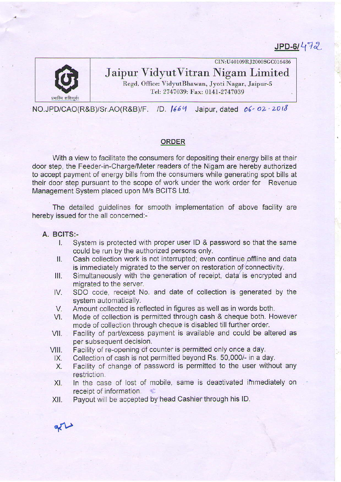# $JPD-61472$



CIN:U40109RJ2000SGC016486

# Jaipur VidyutVitran Nigam Limited

Regd. Office: VidyutBhawan, Jyoti Nagar, Jaipur-5 Tel: 2747039: Fax: 0141-2747039

NO.JPD/CAO(R&B)/Sr.AO(R&B)/F. /D. 1664 Jaipur, dated 06-02-2018

#### ORDER

With a view to facilitate the consumers for depositing their energy bills at their door step, the Feeder-in-Charge/Meter readers of the Nigam are hereby authorized to accept payment of energy bills from the consumers while generating spot bills at their door step pursuant to the scope of work under the work order for Revenue Management System placed upon M/s BCITS Ltd.

The detailed guidelines for smooth implementation of above facility are hereby issued for the all concerned:-

- A. BCITS:-<br>I. System is protected with proper user ID & password so that the same<br>could be run by the authorized persons only.
	- II. Cash collection work is not interrupted; even continue offline and data<br>is immediately migrated to the server on restoration of connectivity.
	- III. Simultaneously with the generation of receipt, data is encrypted and migrated to the server.
	- IV. SDO code, receipt No. and date of collection is generated by the system automatically.
	- V. Amount collected is reflected in figures as well as in words both.<br>VI. Mode of collection is permitted through cash & cheque both. However
	- mode of collection through cheque is disabled till further order.
	- VII. Facility of part/excess payment is available and could be altered as per subsequent decision.
	- VIII. Facility of re-opening of counter is permitted only once a day.<br>IX. Collection of cash is not permitted beyond Rs. 50,000/- in a day
		- IX. Collection of cash is not permitted beyond Rs. 50,000/- in a day.<br>X. Facility of change of password is permitted to the user witho
		- Facility of change of password is permitted to the user without any restriction.
	- XI. In the case of lost of mobile, same is deactivated immediately on receipt of information. receipt of information.
	- Xll. Payout will be accepted by head Cashier through his lD.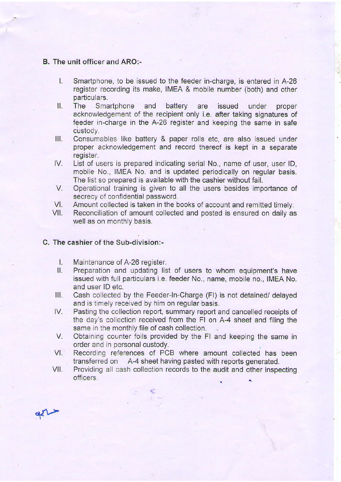#### B. The unit officer and ARO:-

- l. Smartphone, to be issued to the feeder in-charge, is entered in 4-26 register recording its make, IMEA & mobile number (both) and other
- particulars.<br>II. The Smartphone and battery are issued under proper acknowledgement of the recipient only i.e. after taking signatures of feeder in-charge in the A-26 register and keeping the same in safe
- custody.<br>III. Consumables like battery & paper rolls etc, are also issued under proper acknowledgement and record thereof is kept in a separate
- IV. List of users is prepared indicating serial No., name of user, user ID, mobile No., IMEA No. and is updated periodically on regular basis.<br>The list so prepared is available with the cashier without fail.
- V. Operational training is given to all the users besides importance of secrecy of confidential password.
- Vl. Amount collected is taken in the books of account and remitted timely. Vll. Reconciliation of amount collected and posted is ensured on daily as
- well as on monthly basis.

#### C. The cashier of the Sub-division:-

- 
- l. Maintenance of A-26 register.<br>II. Preparation and updating list of users to whom equipment's have issued with full particulars i.e. feeder No., name, mobile no., IMEA No.
- and user ID etc.<br>III. Cash collected by the Feeder-In-Charge (FI) is not detained/ delayed<br>and is timely received by him on regular basis.
- IV. Pasting the collection report, summary report and cancelled receipts of the day's coliection received from the Fl on A-4 sheet and filing the
- same in the monthly file of cash collection.<br>V. Obtaining counter foils provided by the FI and keeping the same in order and in personal custody.
- VI. Recording references of PCB where amount collected has been transferred on A-4 sheet having pasted with reports generated. Vll. Providing all cash collection records to the audit and other inspecting
- offlcers.

 $\frac{d}{dt}$